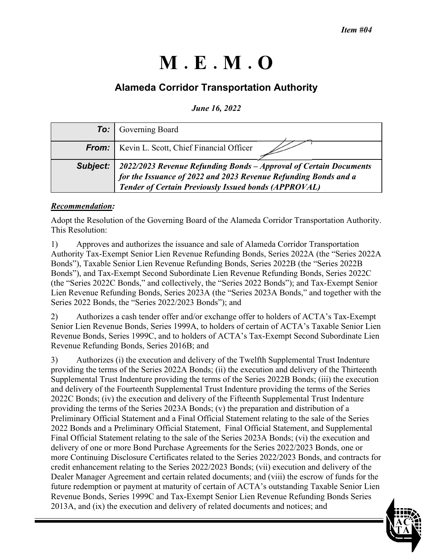# **M E M O**

# **Alameda Corridor Transportation Authority**

*June 16, 2022* 

|          | <b>To:</b> Governing Board                                                                                                                                                                          |
|----------|-----------------------------------------------------------------------------------------------------------------------------------------------------------------------------------------------------|
| From:    | Kevin L. Scott, Chief Financial Officer                                                                                                                                                             |
| Subject: | 2022/2023 Revenue Refunding Bonds - Approval of Certain Documents<br>for the Issuance of 2022 and 2023 Revenue Refunding Bonds and a<br><b>Tender of Certain Previously Issued bonds (APPROVAL)</b> |

## *Recommendation:*

Adopt the Resolution of the Governing Board of the Alameda Corridor Transportation Authority. This Resolution:

1) Approves and authorizes the issuance and sale of Alameda Corridor Transportation Authority Tax-Exempt Senior Lien Revenue Refunding Bonds, Series 2022A (the "Series 2022A Bonds"), Taxable Senior Lien Revenue Refunding Bonds, Series 2022B (the "Series 2022B Bonds"), and Tax-Exempt Second Subordinate Lien Revenue Refunding Bonds, Series 2022C (the "Series 2022C Bonds," and collectively, the "Series 2022 Bonds"); and Tax-Exempt Senior Lien Revenue Refunding Bonds, Series 2023A (the "Series 2023A Bonds," and together with the Series 2022 Bonds, the "Series 2022/2023 Bonds"); and

2) Authorizes a cash tender offer and/or exchange offer to holders of ACTA's Tax-Exempt Senior Lien Revenue Bonds, Series 1999A, to holders of certain of ACTA's Taxable Senior Lien Revenue Bonds, Series 1999C, and to holders of ACTA's Tax-Exempt Second Subordinate Lien Revenue Refunding Bonds, Series 2016B; and

3) Authorizes (i) the execution and delivery of the Twelfth Supplemental Trust Indenture providing the terms of the Series 2022A Bonds; (ii) the execution and delivery of the Thirteenth Supplemental Trust Indenture providing the terms of the Series 2022B Bonds; (iii) the execution and delivery of the Fourteenth Supplemental Trust Indenture providing the terms of the Series 2022C Bonds; (iv) the execution and delivery of the Fifteenth Supplemental Trust Indenture providing the terms of the Series 2023A Bonds; (v) the preparation and distribution of a Preliminary Official Statement and a Final Official Statement relating to the sale of the Series 2022 Bonds and a Preliminary Official Statement, Final Official Statement, and Supplemental Final Official Statement relating to the sale of the Series 2023A Bonds; (vi) the execution and delivery of one or more Bond Purchase Agreements for the Series 2022/2023 Bonds, one or more Continuing Disclosure Certificates related to the Series 2022/2023 Bonds, and contracts for credit enhancement relating to the Series 2022/2023 Bonds; (vii) execution and delivery of the Dealer Manager Agreement and certain related documents; and (viii) the escrow of funds for the future redemption or payment at maturity of certain of ACTA's outstanding Taxable Senior Lien Revenue Bonds, Series 1999C and Tax-Exempt Senior Lien Revenue Refunding Bonds Series 2013A, and (ix) the execution and delivery of related documents and notices; and

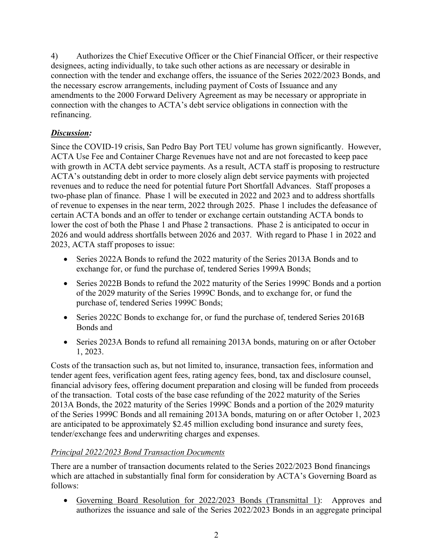4) Authorizes the Chief Executive Officer or the Chief Financial Officer, or their respective designees, acting individually, to take such other actions as are necessary or desirable in connection with the tender and exchange offers, the issuance of the Series 2022/2023 Bonds, and the necessary escrow arrangements, including payment of Costs of Issuance and any amendments to the 2000 Forward Delivery Agreement as may be necessary or appropriate in connection with the changes to ACTA's debt service obligations in connection with the refinancing.

# *Discussion:*

Since the COVID-19 crisis, San Pedro Bay Port TEU volume has grown significantly. However, ACTA Use Fee and Container Charge Revenues have not and are not forecasted to keep pace with growth in ACTA debt service payments. As a result, ACTA staff is proposing to restructure ACTA's outstanding debt in order to more closely align debt service payments with projected revenues and to reduce the need for potential future Port Shortfall Advances. Staff proposes a two-phase plan of finance. Phase 1 will be executed in 2022 and 2023 and to address shortfalls of revenue to expenses in the near term, 2022 through 2025. Phase 1 includes the defeasance of certain ACTA bonds and an offer to tender or exchange certain outstanding ACTA bonds to lower the cost of both the Phase 1 and Phase 2 transactions. Phase 2 is anticipated to occur in 2026 and would address shortfalls between 2026 and 2037. With regard to Phase 1 in 2022 and 2023, ACTA staff proposes to issue:

- Series 2022A Bonds to refund the 2022 maturity of the Series 2013A Bonds and to exchange for, or fund the purchase of, tendered Series 1999A Bonds;
- Series 2022B Bonds to refund the 2022 maturity of the Series 1999C Bonds and a portion of the 2029 maturity of the Series 1999C Bonds, and to exchange for, or fund the purchase of, tendered Series 1999C Bonds;
- Series 2022C Bonds to exchange for, or fund the purchase of, tendered Series 2016B Bonds and
- Series 2023A Bonds to refund all remaining 2013A bonds, maturing on or after October 1, 2023.

Costs of the transaction such as, but not limited to, insurance, transaction fees, information and tender agent fees, verification agent fees, rating agency fees, bond, tax and disclosure counsel, financial advisory fees, offering document preparation and closing will be funded from proceeds of the transaction. Total costs of the base case refunding of the 2022 maturity of the Series 2013A Bonds, the 2022 maturity of the Series 1999C Bonds and a portion of the 2029 maturity of the Series 1999C Bonds and all remaining 2013A bonds, maturing on or after October 1, 2023 are anticipated to be approximately \$2.45 million excluding bond insurance and surety fees, tender/exchange fees and underwriting charges and expenses.

#### *Principal 2022/2023 Bond Transaction Documents*

There are a number of transaction documents related to the Series 2022/2023 Bond financings which are attached in substantially final form for consideration by ACTA's Governing Board as follows:

 Governing Board Resolution for 2022/2023 Bonds (Transmittal 1): Approves and authorizes the issuance and sale of the Series 2022/2023 Bonds in an aggregate principal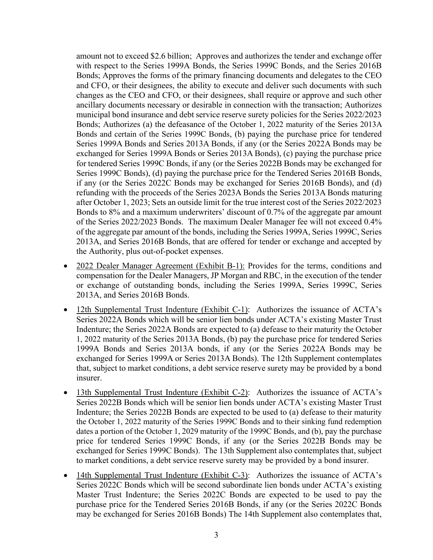amount not to exceed \$2.6 billion; Approves and authorizes the tender and exchange offer with respect to the Series 1999A Bonds, the Series 1999C Bonds, and the Series 2016B Bonds; Approves the forms of the primary financing documents and delegates to the CEO and CFO, or their designees, the ability to execute and deliver such documents with such changes as the CEO and CFO, or their designees, shall require or approve and such other ancillary documents necessary or desirable in connection with the transaction; Authorizes municipal bond insurance and debt service reserve surety policies for the Series 2022/2023 Bonds; Authorizes (a) the defeasance of the October 1, 2022 maturity of the Series 2013A Bonds and certain of the Series 1999C Bonds, (b) paying the purchase price for tendered Series 1999A Bonds and Series 2013A Bonds, if any (or the Series 2022A Bonds may be exchanged for Series 1999A Bonds or Series 2013A Bonds), (c) paying the purchase price for tendered Series 1999C Bonds, if any (or the Series 2022B Bonds may be exchanged for Series 1999C Bonds), (d) paying the purchase price for the Tendered Series 2016B Bonds, if any (or the Series 2022C Bonds may be exchanged for Series 2016B Bonds), and (d) refunding with the proceeds of the Series 2023A Bonds the Series 2013A Bonds maturing after October 1, 2023; Sets an outside limit for the true interest cost of the Series 2022/2023 Bonds to 8% and a maximum underwriters' discount of 0.7% of the aggregate par amount of the Series 2022/2023 Bonds. The maximum Dealer Manager fee will not exceed 0.4% of the aggregate par amount of the bonds, including the Series 1999A, Series 1999C, Series 2013A, and Series 2016B Bonds, that are offered for tender or exchange and accepted by the Authority, plus out-of-pocket expenses.

- 2022 Dealer Manager Agreement (Exhibit B-1): Provides for the terms, conditions and compensation for the Dealer Managers, JP Morgan and RBC, in the execution of the tender or exchange of outstanding bonds, including the Series 1999A, Series 1999C, Series 2013A, and Series 2016B Bonds.
- 12th Supplemental Trust Indenture (Exhibit C-1): Authorizes the issuance of ACTA's Series 2022A Bonds which will be senior lien bonds under ACTA's existing Master Trust Indenture; the Series 2022A Bonds are expected to (a) defease to their maturity the October 1, 2022 maturity of the Series 2013A Bonds, (b) pay the purchase price for tendered Series 1999A Bonds and Series 2013A bonds, if any (or the Series 2022A Bonds may be exchanged for Series 1999A or Series 2013A Bonds). The 12th Supplement contemplates that, subject to market conditions, a debt service reserve surety may be provided by a bond insurer.
- 13th Supplemental Trust Indenture (Exhibit C-2): Authorizes the issuance of ACTA's Series 2022B Bonds which will be senior lien bonds under ACTA's existing Master Trust Indenture; the Series 2022B Bonds are expected to be used to (a) defease to their maturity the October 1, 2022 maturity of the Series 1999C Bonds and to their sinking fund redemption dates a portion of the October 1, 2029 maturity of the 1999C Bonds, and (b), pay the purchase price for tendered Series 1999C Bonds, if any (or the Series 2022B Bonds may be exchanged for Series 1999C Bonds). The 13th Supplement also contemplates that, subject to market conditions, a debt service reserve surety may be provided by a bond insurer.
- 14th Supplemental Trust Indenture (Exhibit C-3): Authorizes the issuance of ACTA's Series 2022C Bonds which will be second subordinate lien bonds under ACTA's existing Master Trust Indenture; the Series 2022C Bonds are expected to be used to pay the purchase price for the Tendered Series 2016B Bonds, if any (or the Series 2022C Bonds may be exchanged for Series 2016B Bonds) The 14th Supplement also contemplates that,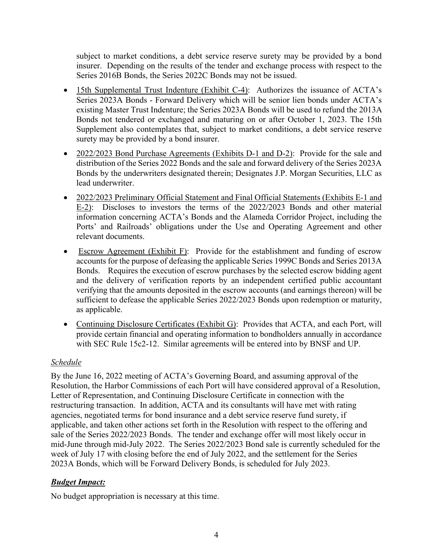subject to market conditions, a debt service reserve surety may be provided by a bond insurer. Depending on the results of the tender and exchange process with respect to the Series 2016B Bonds, the Series 2022C Bonds may not be issued.

- 15th Supplemental Trust Indenture (Exhibit C-4): Authorizes the issuance of ACTA's Series 2023A Bonds - Forward Delivery which will be senior lien bonds under ACTA's existing Master Trust Indenture; the Series 2023A Bonds will be used to refund the 2013A Bonds not tendered or exchanged and maturing on or after October 1, 2023. The 15th Supplement also contemplates that, subject to market conditions, a debt service reserve surety may be provided by a bond insurer.
- 2022/2023 Bond Purchase Agreements (Exhibits D-1 and D-2): Provide for the sale and distribution of the Series 2022 Bonds and the sale and forward delivery of the Series 2023A Bonds by the underwriters designated therein; Designates J.P. Morgan Securities, LLC as lead underwriter.
- 2022/2023 Preliminary Official Statement and Final Official Statements (Exhibits E-1 and E-2): Discloses to investors the terms of the 2022/2023 Bonds and other material information concerning ACTA's Bonds and the Alameda Corridor Project, including the Ports' and Railroads' obligations under the Use and Operating Agreement and other relevant documents.
- Escrow Agreement (Exhibit F): Provide for the establishment and funding of escrow accounts for the purpose of defeasing the applicable Series 1999C Bonds and Series 2013A Bonds. Requires the execution of escrow purchases by the selected escrow bidding agent and the delivery of verification reports by an independent certified public accountant verifying that the amounts deposited in the escrow accounts (and earnings thereon) will be sufficient to defease the applicable Series 2022/2023 Bonds upon redemption or maturity, as applicable.
- Continuing Disclosure Certificates (Exhibit G): Provides that ACTA, and each Port, will provide certain financial and operating information to bondholders annually in accordance with SEC Rule 15c2-12. Similar agreements will be entered into by BNSF and UP.

# *Schedule*

By the June 16, 2022 meeting of ACTA's Governing Board, and assuming approval of the Resolution, the Harbor Commissions of each Port will have considered approval of a Resolution, Letter of Representation, and Continuing Disclosure Certificate in connection with the restructuring transaction. In addition, ACTA and its consultants will have met with rating agencies, negotiated terms for bond insurance and a debt service reserve fund surety, if applicable, and taken other actions set forth in the Resolution with respect to the offering and sale of the Series 2022/2023 Bonds. The tender and exchange offer will most likely occur in mid-June through mid-July 2022. The Series 2022/2023 Bond sale is currently scheduled for the week of July 17 with closing before the end of July 2022, and the settlement for the Series 2023A Bonds, which will be Forward Delivery Bonds, is scheduled for July 2023.

#### *Budget Impact:*

No budget appropriation is necessary at this time.